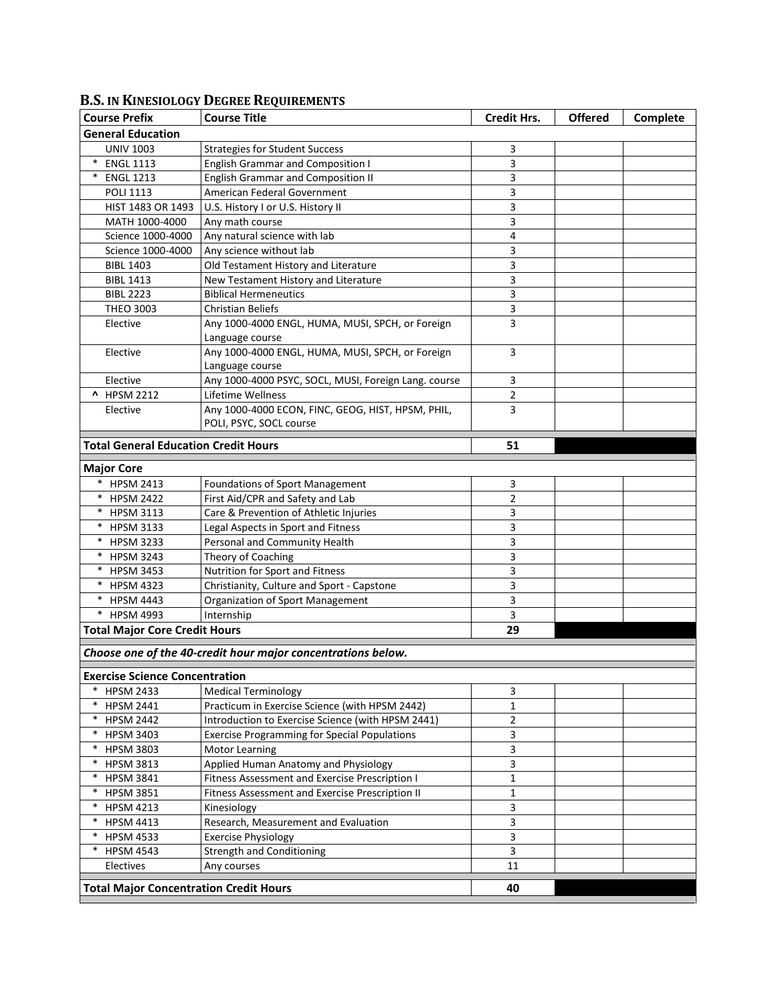| <b>Course Prefix</b>                                | <b>Course Title</b>                                          | <b>Credit Hrs.</b> | <b>Offered</b> | Complete |  |
|-----------------------------------------------------|--------------------------------------------------------------|--------------------|----------------|----------|--|
| <b>General Education</b>                            |                                                              |                    |                |          |  |
| <b>UNIV 1003</b>                                    | <b>Strategies for Student Success</b>                        | 3                  |                |          |  |
| <b>ENGL 1113</b><br>$\ast$                          | <b>English Grammar and Composition I</b>                     | 3                  |                |          |  |
| $^{\ast}$<br><b>ENGL 1213</b>                       | <b>English Grammar and Composition II</b>                    | 3                  |                |          |  |
| <b>POLI 1113</b>                                    | American Federal Government                                  | 3                  |                |          |  |
| HIST 1483 OR 1493                                   | U.S. History I or U.S. History II                            | 3                  |                |          |  |
| MATH 1000-4000                                      | Any math course                                              | 3                  |                |          |  |
| Science 1000-4000                                   | Any natural science with lab                                 | 4                  |                |          |  |
| Science 1000-4000                                   | Any science without lab                                      | 3                  |                |          |  |
| <b>BIBL 1403</b>                                    | Old Testament History and Literature                         | 3                  |                |          |  |
| <b>BIBL 1413</b>                                    | New Testament History and Literature                         | 3                  |                |          |  |
| <b>BIBL 2223</b>                                    | <b>Biblical Hermeneutics</b>                                 | 3                  |                |          |  |
| THEO 3003                                           | <b>Christian Beliefs</b>                                     | 3                  |                |          |  |
| Elective                                            | Any 1000-4000 ENGL, HUMA, MUSI, SPCH, or Foreign             | 3                  |                |          |  |
|                                                     | Language course                                              |                    |                |          |  |
| Elective                                            | Any 1000-4000 ENGL, HUMA, MUSI, SPCH, or Foreign             | 3                  |                |          |  |
|                                                     | Language course                                              |                    |                |          |  |
| Elective                                            | Any 1000-4000 PSYC, SOCL, MUSI, Foreign Lang. course         | 3                  |                |          |  |
| ^ HPSM 2212                                         | Lifetime Wellness                                            | $\overline{2}$     |                |          |  |
| Elective                                            | Any 1000-4000 ECON, FINC, GEOG, HIST, HPSM, PHIL,            | 3                  |                |          |  |
|                                                     | POLI, PSYC, SOCL course                                      |                    |                |          |  |
| <b>Total General Education Credit Hours</b>         |                                                              | 51                 |                |          |  |
|                                                     |                                                              |                    |                |          |  |
| <b>Major Core</b>                                   |                                                              |                    |                |          |  |
| *<br><b>HPSM 2413</b>                               | <b>Foundations of Sport Management</b>                       | 3                  |                |          |  |
| <b>HPSM 2422</b><br>$\ast$                          | First Aid/CPR and Safety and Lab                             | $\overline{2}$     |                |          |  |
| $\ast$<br><b>HPSM 3113</b>                          | Care & Prevention of Athletic Injuries                       | 3                  |                |          |  |
| $\ast$<br><b>HPSM 3133</b>                          | Legal Aspects in Sport and Fitness                           | 3                  |                |          |  |
| $\ast$<br><b>HPSM 3233</b>                          | Personal and Community Health                                | 3                  |                |          |  |
| $\ast$<br><b>HPSM 3243</b>                          | Theory of Coaching                                           | 3                  |                |          |  |
| $\ast$<br><b>HPSM 3453</b>                          | Nutrition for Sport and Fitness                              | 3                  |                |          |  |
| $\ast$<br><b>HPSM 4323</b>                          | Christianity, Culture and Sport - Capstone                   | 3                  |                |          |  |
| <b>HPSM 4443</b><br>$\ast$                          | <b>Organization of Sport Management</b>                      | 3                  |                |          |  |
| $\ast$<br><b>HPSM 4993</b>                          | Internship                                                   | 3                  |                |          |  |
| <b>Total Major Core Credit Hours</b>                |                                                              | 29                 |                |          |  |
|                                                     | Choose one of the 40-credit hour major concentrations below. |                    |                |          |  |
|                                                     |                                                              |                    |                |          |  |
| <b>Exercise Science Concentration</b>               |                                                              |                    |                |          |  |
| <b>HPSM 2433</b>                                    | <b>Medical Terminology</b>                                   | 3                  |                |          |  |
| $\ast$<br><b>HPSM 2441</b>                          | Practicum in Exercise Science (with HPSM 2442)               | $\mathbf 1$        |                |          |  |
| $\ast$<br><b>HPSM 2442</b>                          | Introduction to Exercise Science (with HPSM 2441)            | $\overline{2}$     |                |          |  |
| $\ast$<br><b>HPSM 3403</b>                          | <b>Exercise Programming for Special Populations</b>          | 3                  |                |          |  |
| $\ast$<br><b>HPSM 3803</b>                          | Motor Learning                                               | 3                  |                |          |  |
| <b>HPSM 3813</b><br>$\ast$                          | Applied Human Anatomy and Physiology                         | 3                  |                |          |  |
| <b>HPSM 3841</b><br>$^*$                            | Fitness Assessment and Exercise Prescription I               | 1                  |                |          |  |
| $^*$<br><b>HPSM 3851</b>                            | Fitness Assessment and Exercise Prescription II              | 1                  |                |          |  |
| $\ast$<br><b>HPSM 4213</b>                          | Kinesiology                                                  | 3                  |                |          |  |
| $\ast$<br>HPSM 4413                                 | Research, Measurement and Evaluation                         | 3                  |                |          |  |
| $\ast$<br><b>HPSM 4533</b>                          | <b>Exercise Physiology</b>                                   | 3                  |                |          |  |
| $\ast$<br><b>HPSM 4543</b>                          | <b>Strength and Conditioning</b>                             | 3                  |                |          |  |
| Electives                                           | Any courses                                                  | 11                 |                |          |  |
| <b>Total Major Concentration Credit Hours</b><br>40 |                                                              |                    |                |          |  |

## **B.S. IN KINESIOLOGY DEGREE REQUIREMENTS**